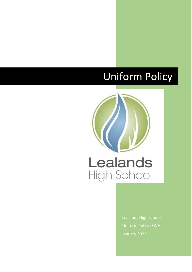# Uniform Policy



Lealands High School Uniform Policy (SWA) January 2022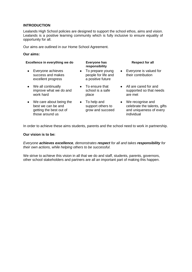#### **INTRODUCTION**

Lealands High School policies are designed to support the school ethos, aims and vision. Lealands is a positive learning community which is fully inclusive to ensure equality of opportunity for all.

Our aims are outlined in our Home School Agreement.

#### **Our aims:**

| Excellence in everything we do |                                                                                               | Everyone has<br>responsibility |                                                              |           | <b>Respect for all</b>                                                                    |  |
|--------------------------------|-----------------------------------------------------------------------------------------------|--------------------------------|--------------------------------------------------------------|-----------|-------------------------------------------------------------------------------------------|--|
| $\bullet$                      | Everyone achieves<br>success and makes<br>excellent progress                                  | $\bullet$                      | To prepare young<br>people for life and<br>a positive future | $\bullet$ | Everyone is valued for<br>their contribution                                              |  |
|                                | • We all continually<br>improve what we do and<br>work hard                                   |                                | $\bullet$ To ensure that<br>school is a safe<br>place        |           | • All are cared for and<br>supported so that needs<br>are met                             |  |
|                                | • We care about being the<br>best we can be and<br>getting the best out of<br>those around us |                                | To help and<br>support others to<br>grow and succeed         | $\bullet$ | We recognise and<br>celebrate the talents, gifts<br>and uniqueness of every<br>individual |  |

In order to achieve these aims students, parents and the school need to work in partnership.

#### **Our vision is to be:**

*Everyone achieves excellence, demonstrates respect for all and takes responsibility for their own actions, while helping others to be successful.*

We strive to achieve this vision in all that we do and staff, students, parents, governors, other school stakeholders and partners are all an important part of making this happen.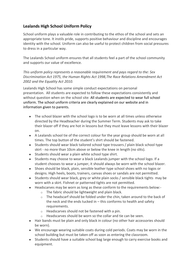# **Lealands High School Uniform Policy**

School uniform plays a valuable role in contributing to the ethos of the school and sets an appropriate tone. It instils pride, supports positive behaviour and discipline and encourages identity with the school. Uniform can also be useful to protect children from social pressures to dress in a particular way.

The Lealands School uniform ensures that all students feel a part of the school community and supports our value of excellence.

*This uniform policy represents a reasonable requirement and pays regard to the: Sex Discrimination Act 1975, the Human Rights Act 1998,The Race Relations Amendment Act 2002 and the Equality Act 2010.*

Lealands High School has some simple conduct expectations on personal presentation. All students are expected to follow these expectations consistently and without question when on the school site: All students are expected to wear full school uniform. The school uniform criteria are clearly explained on our website and in information given to parents.

- The school blazer with the school logo is to be worn at all times unless otherwise directed by the Headteacher during the Summer Term. Students may ask to take their blazer off if they are hot in lessons but they must leave lessons with their blazer on.
- A Lealands school tie of the correct colour for the year group should be worn at all times. The top button of the student's shirt should be fastened.
- Students should wear black tailored school type trousers / plain black school type skirt - no more than 10cm above or below the knee in length (no slits).
- Students should wear a plain white school type shirt.
- Students may choose to wear a black Lealands jumper with the school logo. If a student chooses to wear a jumper, it should always be worn with the school blazer.
- Shoes should be black, plain, sensible leather type school shoes with no logos or designs. High heels, boots, trainers, canvas shoes or sandals are not permitted.
- Students should wear black, grey or white plain socks / sensible black tights may be worn with a skirt. Fishnet or patterned tights are not permitted.
- Headscarves may be worn as long as these conform to the requirements below:
	- o The fabric should be lightweight and plain black.
	- $\circ$  The headscarf should be folded under the chin, taken around to the back of the neck and the ends tucked in  $-$  this conforms to health and safety requirements.
	- $\circ$  Headscarves should not be fastened with a pin.
	- Headscarves should be worn so the collar and tie can be seen.
- Hair bands must be plain and only black in colour (no other hair accessories should be worn).
- We encourage wearing suitable coats during cold periods. Coats may be worn in the school building but must be taken off as soon as entering the classroom.
- Students should have a suitable school bag large enough to carry exercise books and equipment.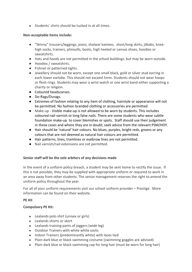● Students' shirts should be tucked in at all times.

## **Non-acceptable items include:**

- "Skinny" trousers/leggings, jeans, shalwar kameez, short/long skirts, jilbabs, kneehigh socks, trainers, plimsolls, boots, high heeled or canvas shoes, hoodies or sweatshirts.
- Hats and hoods are not permitted in the school buildings, but may be worn outside.
- Hoodies / sweatshirts.
- Fishnet or patterned tights.
- Jewellery should not be worn, except one small black, gold or silver stud earring in each lower earlobe. This should not exceed 5mm. Students should not wear hoops or flesh rings. Students may wear a wrist watch or one wrist band either supporting a charity or religion.
- Coloured headscarves.
- Do-Rags/Durags.
- Extremes of fashion relating to any item of clothing, hairstyle or appearance will not be permitted. No fashion branded clothing or accessories are permitted.
- Make-up Visible make-up is not allowed to be worn by students. This includes coloured nail varnish or long false nails. There are some students who wear subtle foundation make-up to cover blemishes or spots. Staff should use their judgement in these cases and where they are in doubt; seek advice from the relevant PSM/HOY.
- Hair should be 'natural' hair colours. No blues, purples, bright reds, greens or any colours that are not deemed as natural hair colours are permitted.
- Hair patterns, lines, tramlines or eyebrow lines are not permitted.
- Nail varnish/nail extensions are not permitted.

#### **Senior staff will be the sole arbiters of any decisions made**

In the event of a uniform policy breach, a student may be sent home to rectify the issue. If this is not possible, they may be supplied with appropriate uniform or required to work in an area away from other students. The senior management reserves the right to amend the uniform policy throughout the year.

For all of your uniform requirements visit our school uniform provider – Prestige. More information can be found on their website.

#### **PE Kit**

# **Compulsory PE Kit:**

- Lealands polo shirt (unisex or girls)
- Lealands shorts or skort
- Lealands training pants of joggers (wide leg)
- Outdoor Trainers with white white socks
- Indoor Trainers (predominantly white) with laces tied
- Plain dark blue or black swimming costume (swimming goggles are advised)
- Plain dark blue or black swimming cap for long hair (must be worn for long hair)